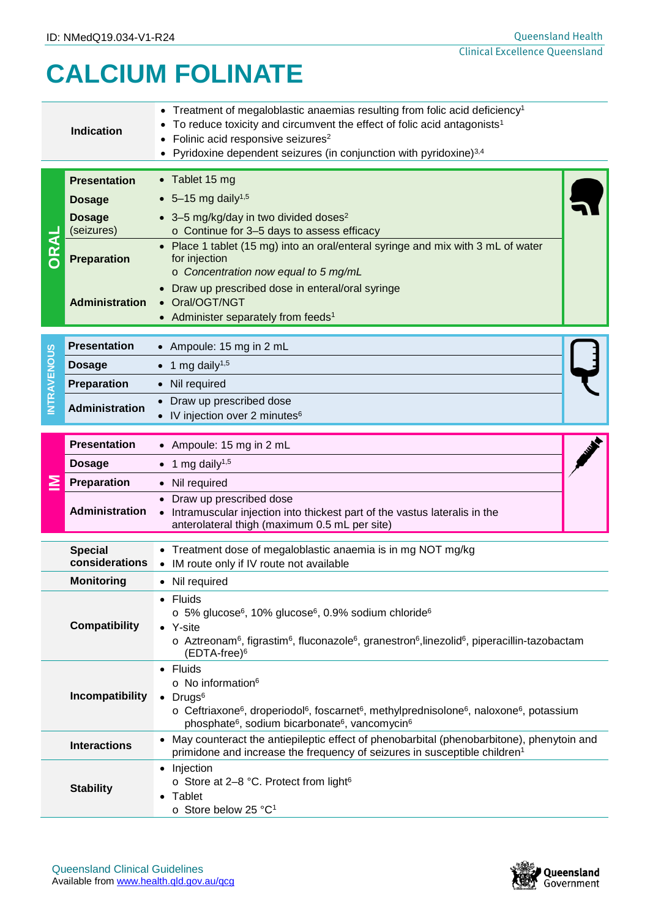## **CALCIUM FOLINATE**

| <b>Indication</b>    |                                  | Treatment of megaloblastic anaemias resulting from folic acid deficiency <sup>1</sup><br>To reduce toxicity and circumvent the effect of folic acid antagonists <sup>1</sup><br>• Folinic acid responsive seizures <sup>2</sup><br>• Pyridoxine dependent seizures (in conjunction with pyridoxine) $3,4$                           |  |  |  |  |
|----------------------|----------------------------------|-------------------------------------------------------------------------------------------------------------------------------------------------------------------------------------------------------------------------------------------------------------------------------------------------------------------------------------|--|--|--|--|
|                      | <b>Presentation</b>              | • Tablet 15 mg                                                                                                                                                                                                                                                                                                                      |  |  |  |  |
| <b>ORAL</b>          | <b>Dosage</b>                    | • 5-15 mg daily <sup>1,5</sup>                                                                                                                                                                                                                                                                                                      |  |  |  |  |
|                      | <b>Dosage</b><br>(seizures)      | • 3-5 mg/kg/day in two divided doses <sup>2</sup><br>o Continue for 3-5 days to assess efficacy<br>Place 1 tablet (15 mg) into an oral/enteral syringe and mix with 3 mL of water                                                                                                                                                   |  |  |  |  |
|                      | <b>Preparation</b>               | for injection<br>o Concentration now equal to 5 mg/mL                                                                                                                                                                                                                                                                               |  |  |  |  |
|                      | <b>Administration</b>            | • Draw up prescribed dose in enteral/oral syringe<br>• Oral/OGT/NGT<br>• Administer separately from feeds <sup>1</sup>                                                                                                                                                                                                              |  |  |  |  |
| <b>INTRAVENOUS</b>   | <b>Presentation</b>              | • Ampoule: 15 mg in 2 mL                                                                                                                                                                                                                                                                                                            |  |  |  |  |
|                      | <b>Dosage</b>                    | 1 mg daily <sup>1,5</sup>                                                                                                                                                                                                                                                                                                           |  |  |  |  |
|                      | <b>Preparation</b>               | • Nil required                                                                                                                                                                                                                                                                                                                      |  |  |  |  |
|                      | <b>Administration</b>            | Draw up prescribed dose<br>IV injection over 2 minutes <sup>6</sup>                                                                                                                                                                                                                                                                 |  |  |  |  |
|                      | <b>Presentation</b>              | • Ampoule: 15 mg in 2 mL                                                                                                                                                                                                                                                                                                            |  |  |  |  |
|                      | <b>Dosage</b>                    | • 1 mg daily <sup>1,5</sup>                                                                                                                                                                                                                                                                                                         |  |  |  |  |
|                      | Preparation                      | • Nil required                                                                                                                                                                                                                                                                                                                      |  |  |  |  |
|                      | <b>Administration</b>            | • Draw up prescribed dose<br>• Intramuscular injection into thickest part of the vastus lateralis in the<br>anterolateral thigh (maximum 0.5 mL per site)                                                                                                                                                                           |  |  |  |  |
|                      | <b>Special</b><br>considerations | • Treatment dose of megaloblastic anaemia is in mg NOT mg/kg<br>• IM route only if IV route not available                                                                                                                                                                                                                           |  |  |  |  |
|                      | <b>Monitoring</b>                | • Nil required                                                                                                                                                                                                                                                                                                                      |  |  |  |  |
| <b>Compatibility</b> |                                  | • Fluids<br>o 5% glucose <sup>6</sup> , 10% glucose <sup>6</sup> , 0.9% sodium chloride <sup>6</sup><br>• Y-site<br>o Aztreonam <sup>6</sup> , figrastim <sup>6</sup> , fluconazole <sup>6</sup> , granestron <sup>6</sup> , linezolid <sup>6</sup> , piperacillin-tazobactam<br>(EDTA-free) <sup>6</sup>                           |  |  |  |  |
| Incompatibility      |                                  | • Fluids<br>$\circ$ No information <sup>6</sup><br>$\bullet$ Drugs <sup>6</sup><br>$\circ$ Ceftriaxone <sup>6</sup> , droperiodol <sup>6</sup> , foscarnet <sup>6</sup> , methylprednisolone <sup>6</sup> , naloxone <sup>6</sup> , potassium<br>phosphate <sup>6</sup> , sodium bicarbonate <sup>6</sup> , vancomycin <sup>6</sup> |  |  |  |  |
|                      | <b>Interactions</b>              | • May counteract the antiepileptic effect of phenobarbital (phenobarbitone), phenytoin and<br>primidone and increase the frequency of seizures in susceptible children <sup>1</sup>                                                                                                                                                 |  |  |  |  |
| <b>Stability</b>     |                                  | • Injection<br>o Store at 2-8 °C. Protect from light <sup>6</sup><br>Tablet<br>○ Store below 25 °C <sup>1</sup>                                                                                                                                                                                                                     |  |  |  |  |